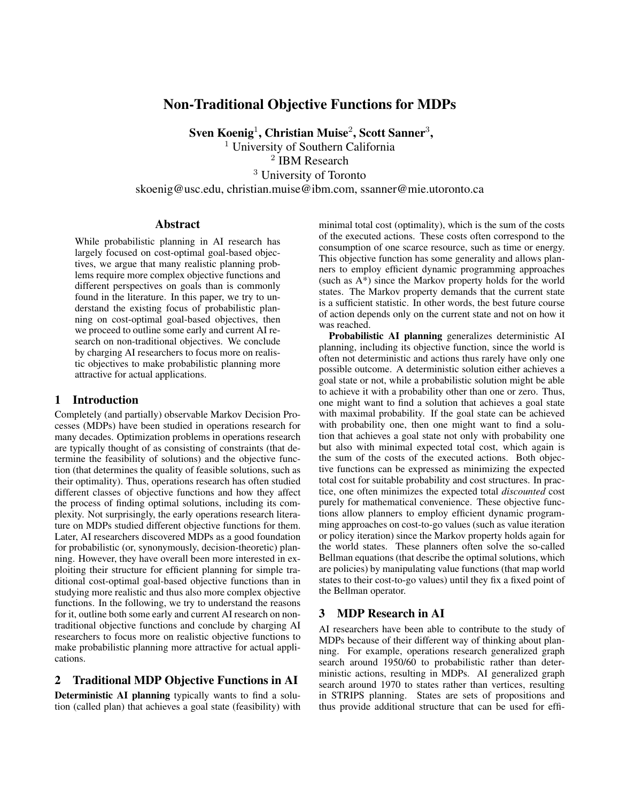# Non-Traditional Objective Functions for MDPs

 $\rm{Sven}$   $\rm{Koenig^1, Christian \,Muise^2, Scott \,Sanner^3,}$ 

<sup>1</sup> University of Southern California 2 IBM Research

<sup>3</sup> University of Toronto

skoenig@usc.edu, christian.muise@ibm.com, ssanner@mie.utoronto.ca

### **Abstract**

While probabilistic planning in AI research has largely focused on cost-optimal goal-based objectives, we argue that many realistic planning problems require more complex objective functions and different perspectives on goals than is commonly found in the literature. In this paper, we try to understand the existing focus of probabilistic planning on cost-optimal goal-based objectives, then we proceed to outline some early and current AI research on non-traditional objectives. We conclude by charging AI researchers to focus more on realistic objectives to make probabilistic planning more attractive for actual applications.

### 1 Introduction

Completely (and partially) observable Markov Decision Processes (MDPs) have been studied in operations research for many decades. Optimization problems in operations research are typically thought of as consisting of constraints (that determine the feasibility of solutions) and the objective function (that determines the quality of feasible solutions, such as their optimality). Thus, operations research has often studied different classes of objective functions and how they affect the process of finding optimal solutions, including its complexity. Not surprisingly, the early operations research literature on MDPs studied different objective functions for them. Later, AI researchers discovered MDPs as a good foundation for probabilistic (or, synonymously, decision-theoretic) planning. However, they have overall been more interested in exploiting their structure for efficient planning for simple traditional cost-optimal goal-based objective functions than in studying more realistic and thus also more complex objective functions. In the following, we try to understand the reasons for it, outline both some early and current AI research on nontraditional objective functions and conclude by charging AI researchers to focus more on realistic objective functions to make probabilistic planning more attractive for actual applications.

### 2 Traditional MDP Objective Functions in AI

Deterministic AI planning typically wants to find a solution (called plan) that achieves a goal state (feasibility) with minimal total cost (optimality), which is the sum of the costs of the executed actions. These costs often correspond to the consumption of one scarce resource, such as time or energy. This objective function has some generality and allows planners to employ efficient dynamic programming approaches (such as A\*) since the Markov property holds for the world states. The Markov property demands that the current state is a sufficient statistic. In other words, the best future course of action depends only on the current state and not on how it was reached.

Probabilistic AI planning generalizes deterministic AI planning, including its objective function, since the world is often not deterministic and actions thus rarely have only one possible outcome. A deterministic solution either achieves a goal state or not, while a probabilistic solution might be able to achieve it with a probability other than one or zero. Thus, one might want to find a solution that achieves a goal state with maximal probability. If the goal state can be achieved with probability one, then one might want to find a solution that achieves a goal state not only with probability one but also with minimal expected total cost, which again is the sum of the costs of the executed actions. Both objective functions can be expressed as minimizing the expected total cost for suitable probability and cost structures. In practice, one often minimizes the expected total *discounted* cost purely for mathematical convenience. These objective functions allow planners to employ efficient dynamic programming approaches on cost-to-go values (such as value iteration or policy iteration) since the Markov property holds again for the world states. These planners often solve the so-called Bellman equations (that describe the optimal solutions, which are policies) by manipulating value functions (that map world states to their cost-to-go values) until they fix a fixed point of the Bellman operator.

### 3 MDP Research in AI

AI researchers have been able to contribute to the study of MDPs because of their different way of thinking about planning. For example, operations research generalized graph search around 1950/60 to probabilistic rather than deterministic actions, resulting in MDPs. AI generalized graph search around 1970 to states rather than vertices, resulting in STRIPS planning. States are sets of propositions and thus provide additional structure that can be used for effi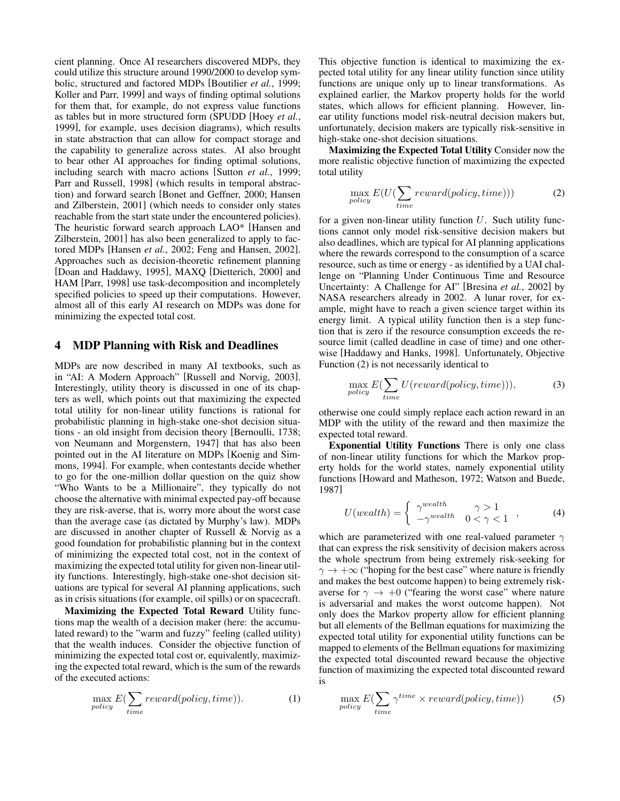cient planning. Once AI researchers discovered MDPs, they could utilize this structure around 1990/2000 to develop symbolic, structured and factored MDPs [Boutilier *et al.*, 1999; Koller and Parr, 1999] and ways of finding optimal solutions for them that, for example, do not express value functions as tables but in more structured form (SPUDD [Hoey *et al.*, 1999], for example, uses decision diagrams), which results in state abstraction that can allow for compact storage and the capability to generalize across states. AI also brought to bear other AI approaches for finding optimal solutions, including search with macro actions [Sutton *et al.*, 1999; Parr and Russell, 1998] (which results in temporal abstraction) and forward search [Bonet and Geffner, 2000; Hansen and Zilberstein, 2001] (which needs to consider only states reachable from the start state under the encountered policies). The heuristic forward search approach LAO\* [Hansen and Zilberstein, 2001] has also been generalized to apply to factored MDPs [Hansen *et al.*, 2002; Feng and Hansen, 2002]. Approaches such as decision-theoretic refinement planning [Doan and Haddawy, 1995], MAXQ [Dietterich, 2000] and HAM [Parr, 1998] use task-decomposition and incompletely specified policies to speed up their computations. However, almost all of this early AI research on MDPs was done for minimizing the expected total cost.

#### 4 MDP Planning with Risk and Deadlines

MDPs are now described in many AI textbooks, such as in "AI: A Modern Approach" [Russell and Norvig, 2003]. Interestingly, utility theory is discussed in one of its chapters as well, which points out that maximizing the expected total utility for non-linear utility functions is rational for probabilistic planning in high-stake one-shot decision situations - an old insight from decision theory [Bernoulli, 1738; von Neumann and Morgenstern, 1947] that has also been pointed out in the AI literature on MDPs [Koenig and Simmons, 1994]. For example, when contestants decide whether to go for the one-million dollar question on the quiz show "Who Wants to be a Millionaire", they typically do not choose the alternative with minimal expected pay-off because they are risk-averse, that is, worry more about the worst case than the average case (as dictated by Murphy's law). MDPs are discussed in another chapter of Russell & Norvig as a good foundation for probabilistic planning but in the context of minimizing the expected total cost, not in the context of maximizing the expected total utility for given non-linear utility functions. Interestingly, high-stake one-shot decision situations are typical for several AI planning applications, such as in crisis situations (for example, oil spills) or on spacecraft.

Maximizing the Expected Total Reward Utility functions map the wealth of a decision maker (here: the accumulated reward) to the "warm and fuzzy" feeling (called utility) that the wealth induces. Consider the objective function of minimizing the expected total cost or, equivalently, maximizing the expected total reward, which is the sum of the rewards of the executed actions:

$$
\max_{policy} E(\sum_{time} reward(policy, time)). \tag{1}
$$

This objective function is identical to maximizing the expected total utility for any linear utility function since utility functions are unique only up to linear transformations. As explained earlier, the Markov property holds for the world states, which allows for efficient planning. However, linear utility functions model risk-neutral decision makers but, unfortunately, decision makers are typically risk-sensitive in high-stake one-shot decision situations.

Maximizing the Expected Total Utility Consider now the more realistic objective function of maximizing the expected total utility

$$
\max_{policy} E(U(\sum_{time} reward(policy, time)))
$$
 (2)

for a given non-linear utility function  $U$ . Such utility functions cannot only model risk-sensitive decision makers but also deadlines, which are typical for AI planning applications where the rewards correspond to the consumption of a scarce resource, such as time or energy - as identified by a UAI challenge on "Planning Under Continuous Time and Resource Uncertainty: A Challenge for AI" [Bresina *et al.*, 2002] by NASA researchers already in 2002. A lunar rover, for example, might have to reach a given science target within its energy limit. A typical utility function then is a step function that is zero if the resource consumption exceeds the resource limit (called deadline in case of time) and one otherwise [Haddawy and Hanks, 1998]. Unfortunately, Objective Function (2) is not necessarily identical to

$$
\max_{policy} E(\sum_{time} U(reward(policy, time))), \qquad (3)
$$

otherwise one could simply replace each action reward in an MDP with the utility of the reward and then maximize the expected total reward.

Exponential Utility Functions There is only one class of non-linear utility functions for which the Markov property holds for the world states, namely exponential utility functions [Howard and Matheson, 1972; Watson and Buede, 1987]

$$
U(weakth) = \begin{cases} \gamma^{weakth} & \gamma > 1 \\ -\gamma^{weakth} & 0 < \gamma < 1 \end{cases}, \tag{4}
$$

which are parameterized with one real-valued parameter  $\gamma$ that can express the risk sensitivity of decision makers across the whole spectrum from being extremely risk-seeking for  $\gamma \rightarrow +\infty$  ("hoping for the best case" where nature is friendly and makes the best outcome happen) to being extremely riskaverse for  $\gamma \rightarrow +0$  ("fearing the worst case" where nature is adversarial and makes the worst outcome happen). Not only does the Markov property allow for efficient planning but all elements of the Bellman equations for maximizing the expected total utility for exponential utility functions can be mapped to elements of the Bellman equations for maximizing the expected total discounted reward because the objective function of maximizing the expected total discounted reward is

$$
\max_{policy} E(\sum_{time} \gamma^{time} \times reward(policy, time))
$$
 (5)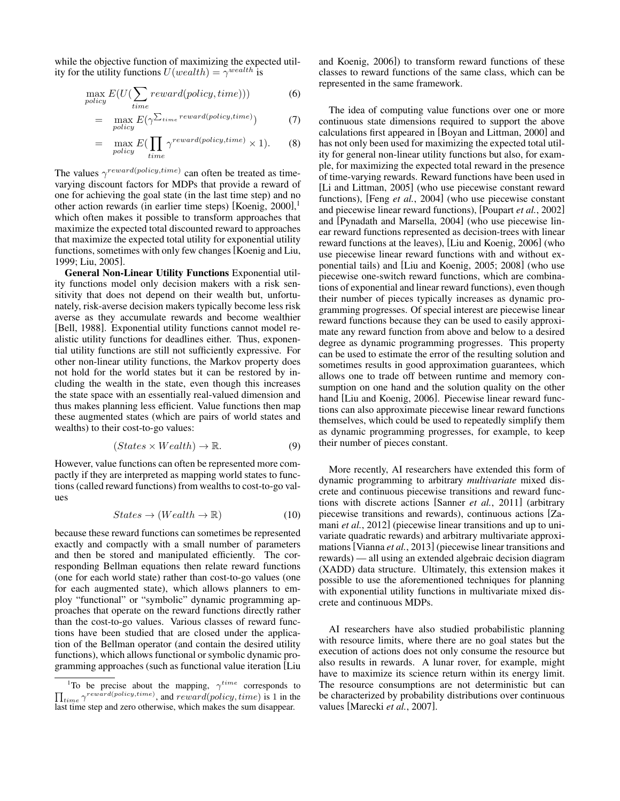while the objective function of maximizing the expected utility for the utility functions  $U(weak) = \gamma^{weak}$  is

$$
\max_{policy} E(U(\sum_{time} reward(policy, time)))
$$
 (6)

$$
= \max_{policy} E(\gamma^{\sum_{time} reward(policy, time)}) \tag{7}
$$

$$
= \max_{policy} E(\prod_{time} \gamma^{reward(policy, time)} \times 1). \tag{8}
$$

The values  $\gamma^{reward(policy, time)}$  can often be treated as timevarying discount factors for MDPs that provide a reward of one for achieving the goal state (in the last time step) and no other action rewards (in earlier time steps) [Koenig, 2000], 1 which often makes it possible to transform approaches that maximize the expected total discounted reward to approaches that maximize the expected total utility for exponential utility functions, sometimes with only few changes [Koenig and Liu, 1999; Liu, 2005].

General Non-Linear Utility Functions Exponential utility functions model only decision makers with a risk sensitivity that does not depend on their wealth but, unfortunately, risk-averse decision makers typically become less risk averse as they accumulate rewards and become wealthier [Bell, 1988]. Exponential utility functions cannot model realistic utility functions for deadlines either. Thus, exponential utility functions are still not sufficiently expressive. For other non-linear utility functions, the Markov property does not hold for the world states but it can be restored by including the wealth in the state, even though this increases the state space with an essentially real-valued dimension and thus makes planning less efficient. Value functions then map these augmented states (which are pairs of world states and wealths) to their cost-to-go values:

$$
(States \times Wealth) \to \mathbb{R}.
$$
 (9)

However, value functions can often be represented more compactly if they are interpreted as mapping world states to functions (called reward functions) from wealths to cost-to-go values

$$
States \to (Weakh \to \mathbb{R}) \tag{10}
$$

because these reward functions can sometimes be represented exactly and compactly with a small number of parameters and then be stored and manipulated efficiently. The corresponding Bellman equations then relate reward functions (one for each world state) rather than cost-to-go values (one for each augmented state), which allows planners to employ "functional" or "symbolic" dynamic programming approaches that operate on the reward functions directly rather than the cost-to-go values. Various classes of reward functions have been studied that are closed under the application of the Bellman operator (and contain the desired utility functions), which allows functional or symbolic dynamic programming approaches (such as functional value iteration [Liu and Koenig, 2006]) to transform reward functions of these classes to reward functions of the same class, which can be represented in the same framework.

The idea of computing value functions over one or more continuous state dimensions required to support the above calculations first appeared in [Boyan and Littman, 2000] and has not only been used for maximizing the expected total utility for general non-linear utility functions but also, for example, for maximizing the expected total reward in the presence of time-varying rewards. Reward functions have been used in [Li and Littman, 2005] (who use piecewise constant reward functions), [Feng *et al.*, 2004] (who use piecewise constant and piecewise linear reward functions), [Poupart *et al.*, 2002] and [Pynadath and Marsella, 2004] (who use piecewise linear reward functions represented as decision-trees with linear reward functions at the leaves), [Liu and Koenig, 2006] (who use piecewise linear reward functions with and without exponential tails) and [Liu and Koenig, 2005; 2008] (who use piecewise one-switch reward functions, which are combinations of exponential and linear reward functions), even though their number of pieces typically increases as dynamic programming progresses. Of special interest are piecewise linear reward functions because they can be used to easily approximate any reward function from above and below to a desired degree as dynamic programming progresses. This property can be used to estimate the error of the resulting solution and sometimes results in good approximation guarantees, which allows one to trade off between runtime and memory consumption on one hand and the solution quality on the other hand [Liu and Koenig, 2006]. Piecewise linear reward functions can also approximate piecewise linear reward functions themselves, which could be used to repeatedly simplify them as dynamic programming progresses, for example, to keep their number of pieces constant.

More recently, AI researchers have extended this form of dynamic programming to arbitrary *multivariate* mixed discrete and continuous piecewise transitions and reward functions with discrete actions [Sanner *et al.*, 2011] (arbitrary piecewise transitions and rewards), continuous actions [Zamani *et al.*, 2012] (piecewise linear transitions and up to univariate quadratic rewards) and arbitrary multivariate approximations [Vianna *et al.*, 2013] (piecewise linear transitions and rewards) — all using an extended algebraic decision diagram (XADD) data structure. Ultimately, this extension makes it possible to use the aforementioned techniques for planning with exponential utility functions in multivariate mixed discrete and continuous MDPs.

AI researchers have also studied probabilistic planning with resource limits, where there are no goal states but the execution of actions does not only consume the resource but also results in rewards. A lunar rover, for example, might have to maximize its science return within its energy limit. The resource consumptions are not deterministic but can be characterized by probability distributions over continuous values [Marecki *et al.*, 2007].

<sup>&</sup>lt;sup>1</sup>To be precise about the mapping,  $\gamma^{time}$  corresponds to  $\prod_{time} \gamma^{reward(policy, time)}$ , and  $reward(policy, time)$  is 1 in the last time step and zero otherwise, which makes the sum disappear.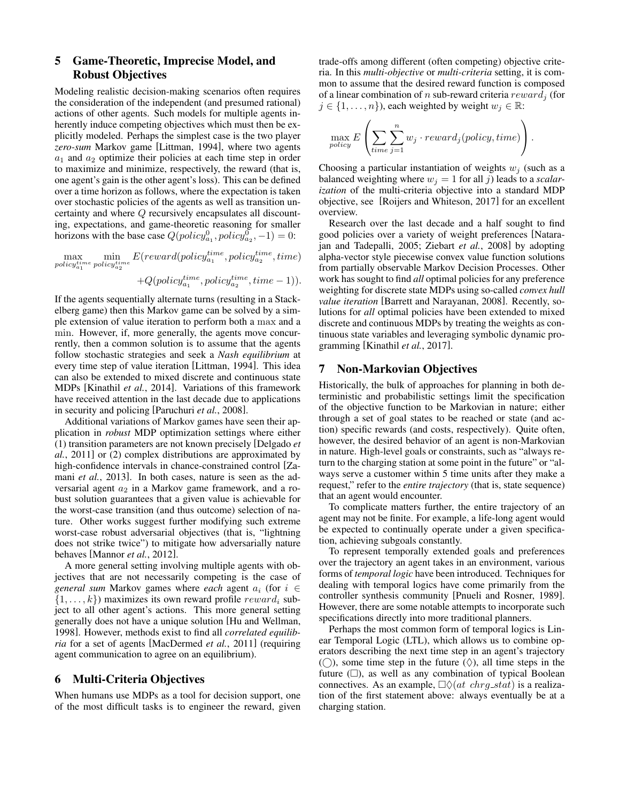## 5 Game-Theoretic, Imprecise Model, and Robust Objectives

Modeling realistic decision-making scenarios often requires the consideration of the independent (and presumed rational) actions of other agents. Such models for multiple agents inherently induce competing objectives which must then be explicitly modeled. Perhaps the simplest case is the two player *zero-sum* Markov game [Littman, 1994], where two agents  $a_1$  and  $a_2$  optimize their policies at each time step in order to maximize and minimize, respectively, the reward (that is, one agent's gain is the other agent's loss). This can be defined over a time horizon as follows, where the expectation is taken over stochastic policies of the agents as well as transition uncertainty and where Q recursively encapsulates all discounting, expectations, and game-theoretic reasoning for smaller horizons with the base case  $Q(\text{policy}_{a_1}^0, \text{policy}_{a_2}^0, -1) = 0$ :

 $\max_{policy_{a_1}^{time}}$  $\min_{policy_{a_2}^{time}}$  $E(reward(polic y_{a_1}^{time}, policy_{a_2}^{time}, time)$ 

 $+ Q(policy_{a_1}^{time}, policy_{a_2}^{time}, time - 1)).$ 

If the agents sequentially alternate turns (resulting in a Stackelberg game) then this Markov game can be solved by a simple extension of value iteration to perform both a max and a min. However, if, more generally, the agents move concurrently, then a common solution is to assume that the agents follow stochastic strategies and seek a *Nash equilibrium* at every time step of value iteration [Littman, 1994]. This idea can also be extended to mixed discrete and continuous state MDPs [Kinathil *et al.*, 2014]. Variations of this framework have received attention in the last decade due to applications in security and policing [Paruchuri *et al.*, 2008].

Additional variations of Markov games have seen their application in *robust* MDP optimization settings where either (1) transition parameters are not known precisely [Delgado *et al.*, 2011] or (2) complex distributions are approximated by high-confidence intervals in chance-constrained control [Zamani *et al.*, 2013]. In both cases, nature is seen as the adversarial agent  $a_2$  in a Markov game framework, and a robust solution guarantees that a given value is achievable for the worst-case transition (and thus outcome) selection of nature. Other works suggest further modifying such extreme worst-case robust adversarial objectives (that is, "lightning does not strike twice") to mitigate how adversarially nature behaves [Mannor *et al.*, 2012].

A more general setting involving multiple agents with objectives that are not necessarily competing is the case of *general sum* Markov games where *each* agent a<sup>i</sup> (for i ∈  $\{1, \ldots, k\}$  maximizes its own reward profile  $reward_i$  subject to all other agent's actions. This more general setting generally does not have a unique solution [Hu and Wellman, 1998]. However, methods exist to find all *correlated equilibria* for a set of agents [MacDermed *et al.*, 2011] (requiring agent communication to agree on an equilibrium).

### 6 Multi-Criteria Objectives

When humans use MDPs as a tool for decision support, one of the most difficult tasks is to engineer the reward, given trade-offs among different (often competing) objective criteria. In this *multi-objective* or *multi-criteria* setting, it is common to assume that the desired reward function is composed of a linear combination of n sub-reward criteria  $reward_j$  (for  $j \in \{1, \ldots, n\}$ , each weighted by weight  $w_j \in \mathbb{R}$ :

$$
\max_{policy} E\left(\sum_{time} \sum_{j=1}^{n} w_j \cdot reward_j(policy, time)\right).
$$

Choosing a particular instantiation of weights  $w_i$  (such as a balanced weighting where  $w_j = 1$  for all j) leads to a *scalarization* of the multi-criteria objective into a standard MDP objective, see [Roijers and Whiteson, 2017] for an excellent overview.

Research over the last decade and a half sought to find good policies over a variety of weight preferences [Natarajan and Tadepalli, 2005; Ziebart *et al.*, 2008] by adopting alpha-vector style piecewise convex value function solutions from partially observable Markov Decision Processes. Other work has sought to find *all* optimal policies for any preference weighting for discrete state MDPs using so-called *convex hull value iteration* [Barrett and Narayanan, 2008]. Recently, solutions for *all* optimal policies have been extended to mixed discrete and continuous MDPs by treating the weights as continuous state variables and leveraging symbolic dynamic programming [Kinathil *et al.*, 2017].

### 7 Non-Markovian Objectives

Historically, the bulk of approaches for planning in both deterministic and probabilistic settings limit the specification of the objective function to be Markovian in nature; either through a set of goal states to be reached or state (and action) specific rewards (and costs, respectively). Quite often, however, the desired behavior of an agent is non-Markovian in nature. High-level goals or constraints, such as "always return to the charging station at some point in the future" or "always serve a customer within 5 time units after they make a request," refer to the *entire trajectory* (that is, state sequence) that an agent would encounter.

To complicate matters further, the entire trajectory of an agent may not be finite. For example, a life-long agent would be expected to continually operate under a given specification, achieving subgoals constantly.

To represent temporally extended goals and preferences over the trajectory an agent takes in an environment, various forms of *temporal logic* have been introduced. Techniques for dealing with temporal logics have come primarily from the controller synthesis community [Pnueli and Rosner, 1989]. However, there are some notable attempts to incorporate such specifications directly into more traditional planners.

Perhaps the most common form of temporal logics is Linear Temporal Logic (LTL), which allows us to combine operators describing the next time step in an agent's trajectory  $($ ), some time step in the future  $($  $\Diamond$ ), all time steps in the future  $(\Box)$ , as well as any combination of typical Boolean connectives. As an example,  $\Box \Diamond (at \ chrg\_stat)$  is a realization of the first statement above: always eventually be at a charging station.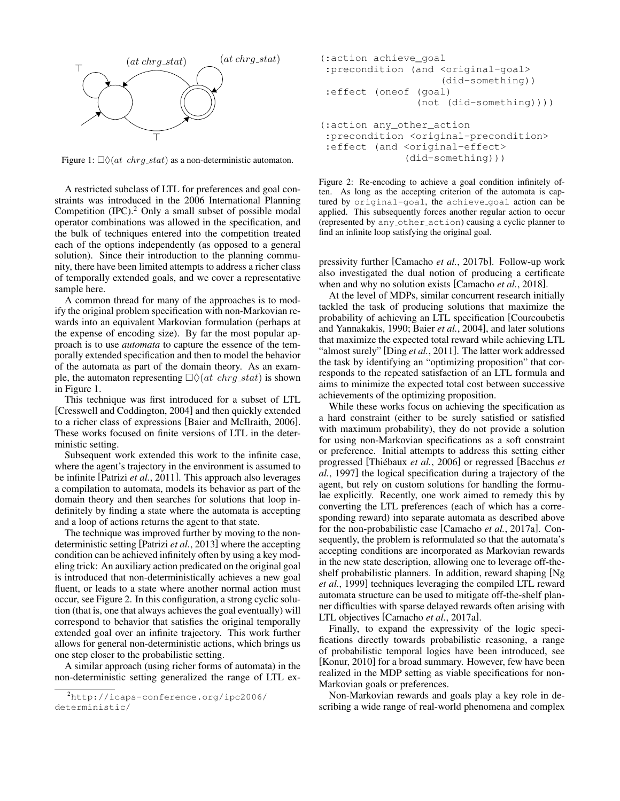

Figure 1:  $\Box \Diamond (at \ chrg\_stat)$  as a non-deterministic automaton.

A restricted subclass of LTL for preferences and goal constraints was introduced in the 2006 International Planning Competition  $(IPC).<sup>2</sup>$  Only a small subset of possible modal operator combinations was allowed in the specification, and the bulk of techniques entered into the competition treated each of the options independently (as opposed to a general solution). Since their introduction to the planning community, there have been limited attempts to address a richer class of temporally extended goals, and we cover a representative sample here.

A common thread for many of the approaches is to modify the original problem specification with non-Markovian rewards into an equivalent Markovian formulation (perhaps at the expense of encoding size). By far the most popular approach is to use *automata* to capture the essence of the temporally extended specification and then to model the behavior of the automata as part of the domain theory. As an example, the automaton representing  $\Box \Diamond (at \ chrg\_stat)$  is shown in Figure 1.

This technique was first introduced for a subset of LTL [Cresswell and Coddington, 2004] and then quickly extended to a richer class of expressions [Baier and McIlraith, 2006]. These works focused on finite versions of LTL in the deterministic setting.

Subsequent work extended this work to the infinite case, where the agent's trajectory in the environment is assumed to be infinite [Patrizi *et al.*, 2011]. This approach also leverages a compilation to automata, models its behavior as part of the domain theory and then searches for solutions that loop indefinitely by finding a state where the automata is accepting and a loop of actions returns the agent to that state.

The technique was improved further by moving to the nondeterministic setting [Patrizi *et al.*, 2013] where the accepting condition can be achieved infinitely often by using a key modeling trick: An auxiliary action predicated on the original goal is introduced that non-deterministically achieves a new goal fluent, or leads to a state where another normal action must occur, see Figure 2. In this configuration, a strong cyclic solution (that is, one that always achieves the goal eventually) will correspond to behavior that satisfies the original temporally extended goal over an infinite trajectory. This work further allows for general non-deterministic actions, which brings us one step closer to the probabilistic setting.

A similar approach (using richer forms of automata) in the non-deterministic setting generalized the range of LTL ex-

```
(:action achieve_goal
 :precondition (and <original-goal>
                    (did-something))
:effect (oneof (goal)
                (not (did-something))))
(:action any_other_action
:precondition <original-precondition>
:effect (and <original-effect>
```
Figure 2: Re-encoding to achieve a goal condition infinitely often. As long as the accepting criterion of the automata is captured by original-goal, the achieve goal action can be

applied. This subsequently forces another regular action to occur (represented by any other action) causing a cyclic planner to

find an infinite loop satisfying the original goal.

(did-something)))

pressivity further [Camacho *et al.*, 2017b]. Follow-up work also investigated the dual notion of producing a certificate when and why no solution exists [Camacho *et al.*, 2018].

At the level of MDPs, similar concurrent research initially tackled the task of producing solutions that maximize the probability of achieving an LTL specification [Courcoubetis and Yannakakis, 1990; Baier *et al.*, 2004], and later solutions that maximize the expected total reward while achieving LTL "almost surely" [Ding *et al.*, 2011]. The latter work addressed the task by identifying an "optimizing proposition" that corresponds to the repeated satisfaction of an LTL formula and aims to minimize the expected total cost between successive achievements of the optimizing proposition.

While these works focus on achieving the specification as a hard constraint (either to be surely satisfied or satisfied with maximum probability), they do not provide a solution for using non-Markovian specifications as a soft constraint or preference. Initial attempts to address this setting either progressed [Thiébaux et al., 2006] or regressed [Bacchus et *al.*, 1997] the logical specification during a trajectory of the agent, but rely on custom solutions for handling the formulae explicitly. Recently, one work aimed to remedy this by converting the LTL preferences (each of which has a corresponding reward) into separate automata as described above for the non-probabilistic case [Camacho *et al.*, 2017a]. Consequently, the problem is reformulated so that the automata's accepting conditions are incorporated as Markovian rewards in the new state description, allowing one to leverage off-theshelf probabilistic planners. In addition, reward shaping [Ng *et al.*, 1999] techniques leveraging the compiled LTL reward automata structure can be used to mitigate off-the-shelf planner difficulties with sparse delayed rewards often arising with LTL objectives [Camacho *et al.*, 2017a].

Finally, to expand the expressivity of the logic specifications directly towards probabilistic reasoning, a range of probabilistic temporal logics have been introduced, see [Konur, 2010] for a broad summary. However, few have been realized in the MDP setting as viable specifications for non-Markovian goals or preferences.

Non-Markovian rewards and goals play a key role in describing a wide range of real-world phenomena and complex

<sup>2</sup>http://icaps-conference.org/ipc2006/ deterministic/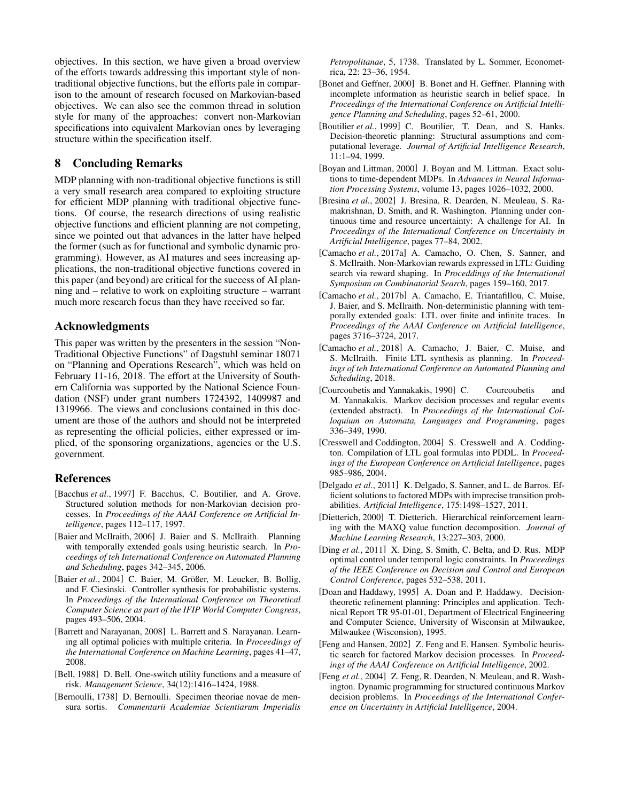objectives. In this section, we have given a broad overview of the efforts towards addressing this important style of nontraditional objective functions, but the efforts pale in comparison to the amount of research focused on Markovian-based objectives. We can also see the common thread in solution style for many of the approaches: convert non-Markovian specifications into equivalent Markovian ones by leveraging structure within the specification itself.

### 8 Concluding Remarks

MDP planning with non-traditional objective functions is still a very small research area compared to exploiting structure for efficient MDP planning with traditional objective functions. Of course, the research directions of using realistic objective functions and efficient planning are not competing, since we pointed out that advances in the latter have helped the former (such as for functional and symbolic dynamic programming). However, as AI matures and sees increasing applications, the non-traditional objective functions covered in this paper (and beyond) are critical for the success of AI planning and – relative to work on exploiting structure – warrant much more research focus than they have received so far.

### Acknowledgments

This paper was written by the presenters in the session "Non-Traditional Objective Functions" of Dagstuhl seminar 18071 on "Planning and Operations Research", which was held on February 11-16, 2018. The effort at the University of Southern California was supported by the National Science Foundation (NSF) under grant numbers 1724392, 1409987 and 1319966. The views and conclusions contained in this document are those of the authors and should not be interpreted as representing the official policies, either expressed or implied, of the sponsoring organizations, agencies or the U.S. government.

### References

- [Bacchus *et al.*, 1997] F. Bacchus, C. Boutilier, and A. Grove. Structured solution methods for non-Markovian decision processes. In *Proceedings of the AAAI Conference on Artificial Intelligence*, pages 112–117, 1997.
- [Baier and McIlraith, 2006] J. Baier and S. McIlraith. Planning with temporally extended goals using heuristic search. In *Proceedings of teh International Conference on Automated Planning and Scheduling*, pages 342–345, 2006.
- [Baier et al., 2004] C. Baier, M. Größer, M. Leucker, B. Bollig, and F. Ciesinski. Controller synthesis for probabilistic systems. In *Proceedings of the International Conference on Theoretical Computer Science as part of the IFIP World Computer Congress*, pages 493–506, 2004.
- [Barrett and Narayanan, 2008] L. Barrett and S. Narayanan. Learning all optimal policies with multiple criteria. In *Proceedings of the International Conference on Machine Learning*, pages 41–47, 2008.
- [Bell, 1988] D. Bell. One-switch utility functions and a measure of risk. *Management Science*, 34(12):1416–1424, 1988.
- [Bernoulli, 1738] D. Bernoulli. Specimen theoriae novae de mensura sortis. *Commentarii Academiae Scientiarum Imperialis*

*Petropolitanae*, 5, 1738. Translated by L. Sommer, Econometrica, 22: 23–36, 1954.

- [Bonet and Geffner, 2000] B. Bonet and H. Geffner. Planning with incomplete information as heuristic search in belief space. In *Proceedings of the International Conference on Artificial Intelligence Planning and Scheduling*, pages 52–61, 2000.
- [Boutilier *et al.*, 1999] C. Boutilier, T. Dean, and S. Hanks. Decision-theoretic planning: Structural assumptions and computational leverage. *Journal of Artificial Intelligence Research*, 11:1–94, 1999.
- [Boyan and Littman, 2000] J. Boyan and M. Littman. Exact solutions to time-dependent MDPs. In *Advances in Neural Information Processing Systems*, volume 13, pages 1026–1032, 2000.
- [Bresina *et al.*, 2002] J. Bresina, R. Dearden, N. Meuleau, S. Ramakrishnan, D. Smith, and R. Washington. Planning under continuous time and resource uncertainty: A challenge for AI. In *Proceedings of the International Conference on Uncertainty in Artificial Intelligence*, pages 77–84, 2002.
- [Camacho *et al.*, 2017a] A. Camacho, O. Chen, S. Sanner, and S. McIlraith. Non-Markovian rewards expressed in LTL: Guiding search via reward shaping. In *Proceddings of the International Symposium on Combinatorial Search*, pages 159–160, 2017.
- [Camacho *et al.*, 2017b] A. Camacho, E. Triantafillou, C. Muise, J. Baier, and S. McIlraith. Non-deterministic planning with temporally extended goals: LTL over finite and infinite traces. In *Proceedings of the AAAI Conference on Artificial Intelligence*, pages 3716–3724, 2017.
- [Camacho et al., 2018] A. Camacho, J. Baier, C. Muise, and S. McIlraith. Finite LTL synthesis as planning. In *Proceedings of teh International Conference on Automated Planning and Scheduling*, 2018.
- [Courcoubetis and Yannakakis, 1990] C. Courcoubetis and M. Yannakakis. Markov decision processes and regular events (extended abstract). In *Proceedings of the International Colloquium on Automata, Languages and Programming*, pages 336–349, 1990.
- [Cresswell and Coddington, 2004] S. Cresswell and A. Coddington. Compilation of LTL goal formulas into PDDL. In *Proceedings of the European Conference on Artificial Intelligence*, pages 985–986, 2004.
- [Delgado *et al.*, 2011] K. Delgado, S. Sanner, and L. de Barros. Efficient solutions to factored MDPs with imprecise transition probabilities. *Artificial Intelligence*, 175:1498–1527, 2011.
- [Dietterich, 2000] T. Dietterich. Hierarchical reinforcement learning with the MAXQ value function decomposition. *Journal of Machine Learning Research*, 13:227–303, 2000.
- [Ding *et al.*, 2011] X. Ding, S. Smith, C. Belta, and D. Rus. MDP optimal control under temporal logic constraints. In *Proceedings of the IEEE Conference on Decision and Control and European Control Conference*, pages 532–538, 2011.
- [Doan and Haddawy, 1995] A. Doan and P. Haddawy. Decisiontheoretic refinement planning: Principles and application. Technical Report TR 95-01-01, Department of Electrical Engineering and Computer Science, University of Wisconsin at Milwaukee, Milwaukee (Wisconsion), 1995.
- [Feng and Hansen, 2002] Z. Feng and E. Hansen. Symbolic heuristic search for factored Markov decision processes. In *Proceedings of the AAAI Conference on Artificial Intelligence*, 2002.
- [Feng *et al.*, 2004] Z. Feng, R. Dearden, N. Meuleau, and R. Washington. Dynamic programming for structured continuous Markov decision problems. In *Proceedings of the International Conference on Uncertainty in Artificial Intelligence*, 2004.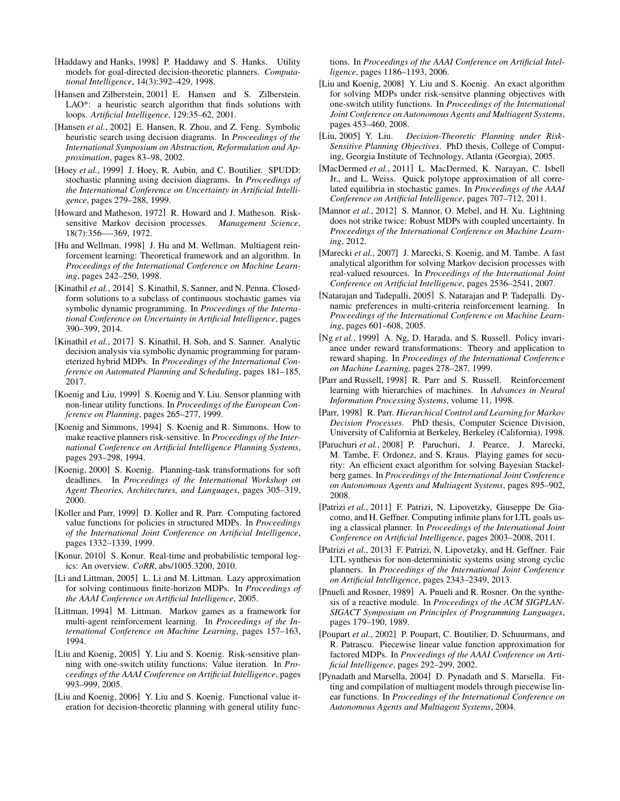- [Haddawy and Hanks, 1998] P. Haddawy and S. Hanks. Utility models for goal-directed decision-theoretic planners. *Computational Intelligence*, 14(3):392–429, 1998.
- [Hansen and Zilberstein, 2001] E. Hansen and S. Zilberstein. LAO\*: a heuristic search algorithm that finds solutions with loops. *Artificial Intelligence*, 129:35–62, 2001.
- [Hansen et al., 2002] E. Hansen, R. Zhou, and Z. Feng. Symbolic heuristic search using decision diagrams. In *Proceedings of the International Symposium on Abstraction, Reformulation and Approximation*, pages 83–98, 2002.
- [Hoey *et al.*, 1999] J. Hoey, R. Aubin, and C. Boutilier. SPUDD: stochastic planning using decision diagrams. In *Proceedings of the International Conference on Uncertainty in Artificial Intelligence*, pages 279–288, 1999.
- [Howard and Matheson, 1972] R. Howard and J. Matheson. Risksensitive Markov decision processes. *Management Science*, 18(7):356—-369, 1972.
- [Hu and Wellman, 1998] J. Hu and M. Wellman. Multiagent reinforcement learning: Theoretical framework and an algorithm. In *Proceedings of the International Conference on Machine Learning*, pages 242–250, 1998.
- [Kinathil *et al.*, 2014] S. Kinathil, S. Sanner, and N. Penna. Closedform solutions to a subclass of continuous stochastic games via symbolic dynamic programming. In *Proceedings of the International Conference on Uncertainty in Artificial Intelligence*, pages 390–399, 2014.
- [Kinathil *et al.*, 2017] S. Kinathil, H. Soh, and S. Sanner. Analytic decision analysis via symbolic dynamic programming for parameterized hybrid MDPs. In *Proceedings of the International Conference on Automated Planning and Scheduling*, pages 181–185, 2017.
- [Koenig and Liu, 1999] S. Koenig and Y. Liu. Sensor planning with non-linear utility functions. In *Proceedings of the European Conference on Planning*, pages 265–277, 1999.
- [Koenig and Simmons, 1994] S. Koenig and R. Simmons. How to make reactive planners risk-sensitive. In *Proceedings of the International Conference on Artificial Intelligence Planning Systems*, pages 293–298, 1994.
- [Koenig, 2000] S. Koenig. Planning-task transformations for soft deadlines. In *Proceedings of the International Workshop on Agent Theories, Architectures, and Languages*, pages 305–319, 2000.
- [Koller and Parr, 1999] D. Koller and R. Parr. Computing factored value functions for policies in structured MDPs. In *Proceedings of the International Joint Conference on Artificial Intelligence*, pages 1332–1339, 1999.
- [Konur, 2010] S. Konur. Real-time and probabilistic temporal logics: An overview. *CoRR*, abs/1005.3200, 2010.
- [Li and Littman, 2005] L. Li and M. Littman. Lazy approximation for solving continuous finite-horizon MDPs. In *Proceedings of the AAAI Conference on Artificial Intelligence*, 2005.
- [Littman, 1994] M. Littman. Markov games as a framework for multi-agent reinforcement learning. In *Proceedings of the International Conference on Machine Learning*, pages 157–163, 1994.
- [Liu and Koenig, 2005] Y. Liu and S. Koenig. Risk-sensitive planning with one-switch utility functions: Value iteration. In *Proceedings of the AAAI Conference on Artificial Intelligence*, pages 993–999, 2005.
- [Liu and Koenig, 2006] Y. Liu and S. Koenig. Functional value iteration for decision-theoretic planning with general utility func-

tions. In *Proceedings of the AAAI Conference on Artificial Intelligence*, pages 1186–1193, 2006.

- [Liu and Koenig, 2008] Y. Liu and S. Koenig. An exact algorithm for solving MDPs under risk-sensitve planning objectives with one-switch utility functions. In *Proceedings of the International Joint Conference on Autonomous Agents and Multiagent Systems*, pages 453–460, 2008.
- [Liu, 2005] Y. Liu. *Decision-Theoretic Planning under Risk-Sensitive Planning Objectives*. PhD thesis, College of Computing, Georgia Institute of Technology, Atlanta (Georgia), 2005.
- [MacDermed *et al.*, 2011] L. MacDermed, K. Narayan, C. Isbell Jr., and L. Weiss. Quick polytope approximation of all correlated equilibria in stochastic games. In *Proceedings of the AAAI Conference on Artificial Intelligence*, pages 707–712, 2011.
- [Mannor *et al.*, 2012] S. Mannor, O. Mebel, and H. Xu. Lightning does not strike twice: Robust MDPs with coupled uncertainty. In *Proceedings of the International Conference on Machine Learning*, 2012.
- [Marecki *et al.*, 2007] J. Marecki, S. Koenig, and M. Tambe. A fast analytical algorithm for solving Markov decision processes with real-valued resources. In *Proceedings of the International Joint Conference on Artificial Intelligence*, pages 2536–2541, 2007.
- [Natarajan and Tadepalli, 2005] S. Natarajan and P. Tadepalli. Dynamic preferences in multi-criteria reinforcement learning. In *Proceedings of the International Conference on Machine Learning*, pages 601–608, 2005.
- [Ng et al., 1999] A. Ng, D. Harada, and S. Russell. Policy invariance under reward transformations: Theory and application to reward shaping. In *Proceedings of the International Conference on Machine Learning*, pages 278–287, 1999.
- [Parr and Russell, 1998] R. Parr and S. Russell. Reinforcement learning with hierarchies of machines. In *Advances in Neural Information Processing Systems*, volume 11, 1998.
- [Parr, 1998] R. Parr. *Hierarchical Control and Learning for Markov Decision Processes*. PhD thesis, Computer Science Division, University of California at Berkeley, Berkeley (California), 1998.
- [Paruchuri *et al.*, 2008] P. Paruchuri, J. Pearce, J. Marecki, M. Tambe, F. Ordonez, and S. Kraus. Playing games for security: An efficient exact algorithm for solving Bayesian Stackelberg games. In *Proceedings of the International Joint Conference on Autonomous Agents and Multiagent Systems*, pages 895–902, 2008.
- [Patrizi *et al.*, 2011] F. Patrizi, N. Lipovetzky, Giuseppe De Giacomo, and H. Geffner. Computing infinite plans for LTL goals using a classical planner. In *Proceedings of the International Joint Conference on Artificial Intelligence*, pages 2003–2008, 2011.
- [Patrizi et al., 2013] F. Patrizi, N. Lipovetzky, and H. Geffner. Fair LTL synthesis for non-deterministic systems using strong cyclic planners. In *Proceedings of the International Joint Conference on Artificial Intelligence*, pages 2343–2349, 2013.
- [Pnueli and Rosner, 1989] A. Pnueli and R. Rosner. On the synthesis of a reactive module. In *Proceedings of the ACM SIGPLAN-SIGACT Symposium on Principles of Programming Languages*, pages 179–190, 1989.
- [Poupart *et al.*, 2002] P. Poupart, C. Boutilier, D. Schuurmans, and R. Patrascu. Piecewise linear value function approximation for factored MDPs. In *Proceedings of the AAAI Conference on Artificial Intelligence*, pages 292–299, 2002.
- [Pynadath and Marsella, 2004] D. Pynadath and S. Marsella. Fitting and compilation of multiagent models through piecewise linear functions. In *Proceedings of the International Conference on Autonomous Agents and Multiagent Systems*, 2004.